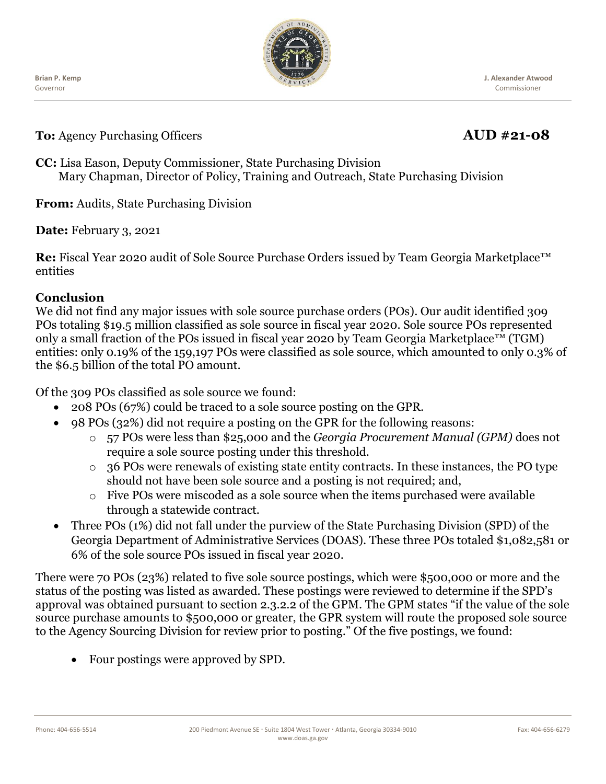

**To:** Agency Purchasing Officers **AUD #21-08**

**CC:** Lisa Eason, Deputy Commissioner, State Purchasing Division Mary Chapman, Director of Policy, Training and Outreach, State Purchasing Division

**From:** Audits, State Purchasing Division

**Date:** February 3, 2021

**Re:** Fiscal Year 2020 audit of Sole Source Purchase Orders issued by Team Georgia Marketplace™ entities

## **Conclusion**

We did not find any major issues with sole source purchase orders (POs). Our audit identified 309 POs totaling \$19.5 million classified as sole source in fiscal year 2020. Sole source POs represented only a small fraction of the POs issued in fiscal year 2020 by Team Georgia Marketplace™ (TGM) entities: only 0.19% of the 159,197 POs were classified as sole source, which amounted to only 0.3% of the \$6.5 billion of the total PO amount.

Of the 309 POs classified as sole source we found:

- 208 POs (67%) could be traced to a sole source posting on the GPR.
- 98 POs (32%) did not require a posting on the GPR for the following reasons:
	- o 57 POs were less than \$25,000 and the *Georgia Procurement Manual (GPM)* does not require a sole source posting under this threshold.
	- o 36 POs were renewals of existing state entity contracts. In these instances, the PO type should not have been sole source and a posting is not required; and,
	- o Five POs were miscoded as a sole source when the items purchased were available through a statewide contract.
- Three POs (1%) did not fall under the purview of the State Purchasing Division (SPD) of the Georgia Department of Administrative Services (DOAS). These three POs totaled \$1,082,581 or 6% of the sole source POs issued in fiscal year 2020.

There were 70 POs (23%) related to five sole source postings, which were \$500,000 or more and the status of the posting was listed as awarded. These postings were reviewed to determine if the SPD's approval was obtained pursuant to section 2.3.2.2 of the GPM. The GPM states "if the value of the sole source purchase amounts to \$500,000 or greater, the GPR system will route the proposed sole source to the Agency Sourcing Division for review prior to posting." Of the five postings, we found:

• Four postings were approved by SPD.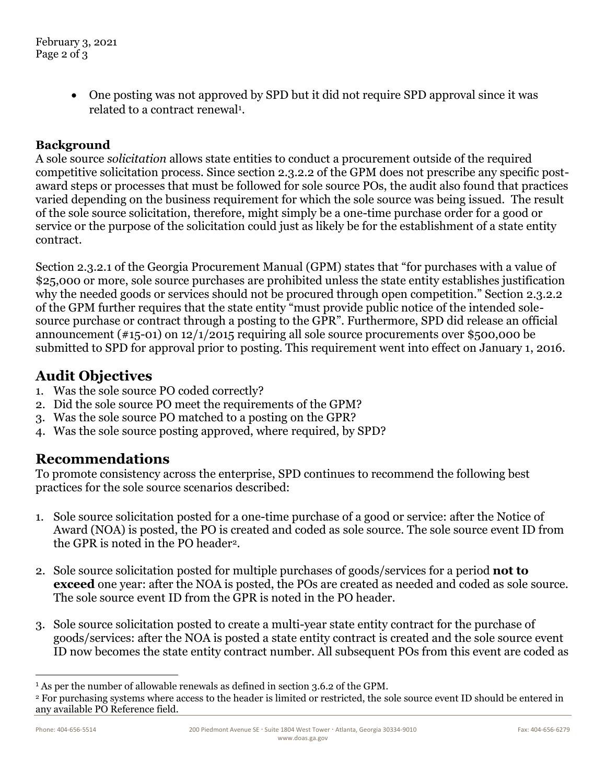• One posting was not approved by SPD but it did not require SPD approval since it was related to a contract renewal<sup>1</sup>.

## **Background**

A sole source *solicitation* allows state entities to conduct a procurement outside of the required competitive solicitation process. Since section 2.3.2.2 of the GPM does not prescribe any specific postaward steps or processes that must be followed for sole source POs, the audit also found that practices varied depending on the business requirement for which the sole source was being issued. The result of the sole source solicitation, therefore, might simply be a one-time purchase order for a good or service or the purpose of the solicitation could just as likely be for the establishment of a state entity contract.

Section 2.3.2.1 of the Georgia Procurement Manual (GPM) states that "for purchases with a value of \$25,000 or more, sole source purchases are prohibited unless the state entity establishes justification why the needed goods or services should not be procured through open competition." Section 2.3.2.2 of the GPM further requires that the state entity "must provide public notice of the intended solesource purchase or contract through a posting to the GPR". Furthermore, SPD did release an official announcement (#15-01) on 12/1/2015 requiring all sole source procurements over \$500,000 be submitted to SPD for approval prior to posting. This requirement went into effect on January 1, 2016.

# **Audit Objectives**

- 1. Was the sole source PO coded correctly?
- 2. Did the sole source PO meet the requirements of the GPM?
- 3. Was the sole source PO matched to a posting on the GPR?
- 4. Was the sole source posting approved, where required, by SPD?

# **Recommendations**

To promote consistency across the enterprise, SPD continues to recommend the following best practices for the sole source scenarios described:

- 1. Sole source solicitation posted for a one-time purchase of a good or service: after the Notice of Award (NOA) is posted, the PO is created and coded as sole source. The sole source event ID from the GPR is noted in the PO header2.
- 2. Sole source solicitation posted for multiple purchases of goods/services for a period **not to exceed** one year: after the NOA is posted, the POs are created as needed and coded as sole source. The sole source event ID from the GPR is noted in the PO header.
- 3. Sole source solicitation posted to create a multi-year state entity contract for the purchase of goods/services: after the NOA is posted a state entity contract is created and the sole source event ID now becomes the state entity contract number. All subsequent POs from this event are coded as

<sup>&</sup>lt;sup>1</sup> As per the number of allowable renewals as defined in section 3.6.2 of the GPM.

<sup>2</sup> For purchasing systems where access to the header is limited or restricted, the sole source event ID should be entered in any available PO Reference field.